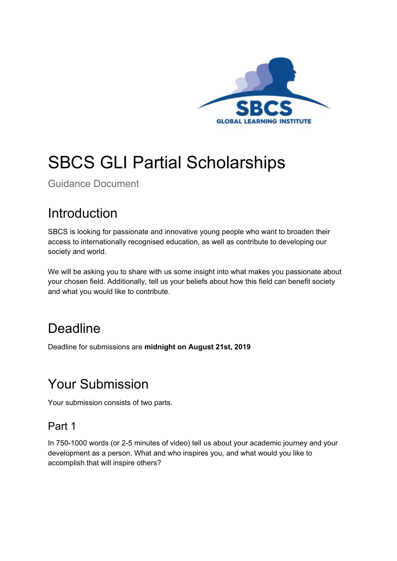

# SBCS GLI Partial Scholarships

Guidance Document

### Introduction

SBCS is looking for passionate and innovative young people who want to broaden their access to internationally recognised education, as well as contribute to developing our society and world.

We will be asking you to share with us some insight into what makes you passionate about your chosen field. Additionally, tell us your beliefs about how this field can benefit society and what you would like to contribute.

### Deadline

Deadline for submissions are **midnight on August 21st, 2019**

### Your Submission

Your submission consists of two parts.

#### Part 1

In 750-1000 words (or 2-5 minutes of video) tell us about your academic journey and your development as a person. What and who inspires you, and what would you like to accomplish that will inspire others?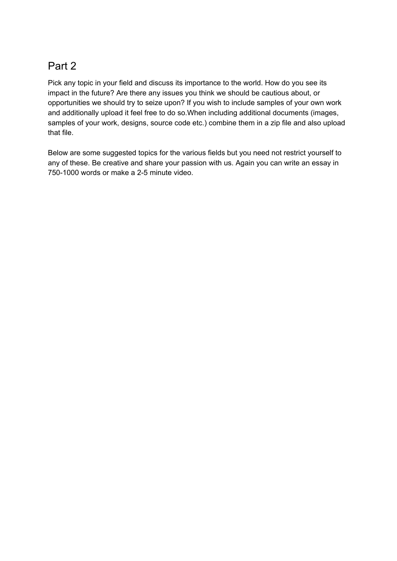### Part 2

Pick any topic in your field and discuss its importance to the world. How do you see its impact in the future? Are there any issues you think we should be cautious about, or opportunities we should try to seize upon? If you wish to include samples of your own work and additionally upload it feel free to do so.When including additional documents (images, samples of your work, designs, source code etc.) combine them in a zip file and also upload that file.

Below are some suggested topics for the various fields but you need not restrict yourself to any of these. Be creative and share your passion with us. Again you can write an essay in 750-1000 words or make a 2-5 minute video.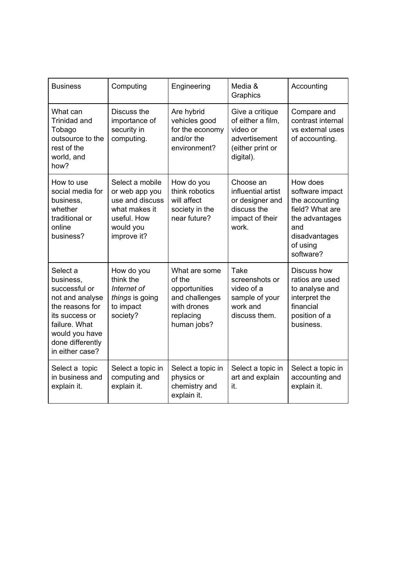| <b>Business</b>                                                                                                                                                          | Computing                                                                                                        | Engineering                                                                                           | Media &<br>Graphics                                                                                | Accounting                                                                                                                          |
|--------------------------------------------------------------------------------------------------------------------------------------------------------------------------|------------------------------------------------------------------------------------------------------------------|-------------------------------------------------------------------------------------------------------|----------------------------------------------------------------------------------------------------|-------------------------------------------------------------------------------------------------------------------------------------|
| What can<br>Trinidad and<br>Tobago<br>outsource to the<br>rest of the<br>world, and<br>how?                                                                              | Discuss the<br>importance of<br>security in<br>computing.                                                        | Are hybrid<br>vehicles good<br>for the economy<br>and/or the<br>environment?                          | Give a critique<br>of either a film.<br>video or<br>advertisement<br>(either print or<br>digital). | Compare and<br>contrast internal<br>vs external uses<br>of accounting.                                                              |
| How to use<br>social media for<br>business,<br>whether<br>traditional or<br>online<br>business?                                                                          | Select a mobile<br>or web app you<br>use and discuss<br>what makes it<br>useful. How<br>would you<br>improve it? | How do you<br>think robotics<br>will affect<br>society in the<br>near future?                         | Choose an<br>influential artist<br>or designer and<br>discuss the<br>impact of their<br>work.      | How does<br>software impact<br>the accounting<br>field? What are<br>the advantages<br>and<br>disadvantages<br>of using<br>software? |
| Select a<br>business.<br>successful or<br>not and analyse<br>the reasons for<br>its success or<br>failure. What<br>would you have<br>done differently<br>in either case? | How do you<br>think the<br>Internet of<br>things is going<br>to impact<br>society?                               | What are some<br>of the<br>opportunities<br>and challenges<br>with drones<br>replacing<br>human jobs? | Take<br>screenshots or<br>video of a<br>sample of your<br>work and<br>discuss them.                | Discuss how<br>ratios are used<br>to analyse and<br>interpret the<br>financial<br>position of a<br>business.                        |
| Select a topic<br>in business and<br>explain it.                                                                                                                         | Select a topic in<br>computing and<br>explain it.                                                                | Select a topic in<br>physics or<br>chemistry and<br>explain it.                                       | Select a topic in<br>art and explain<br>it.                                                        | Select a topic in<br>accounting and<br>explain it.                                                                                  |